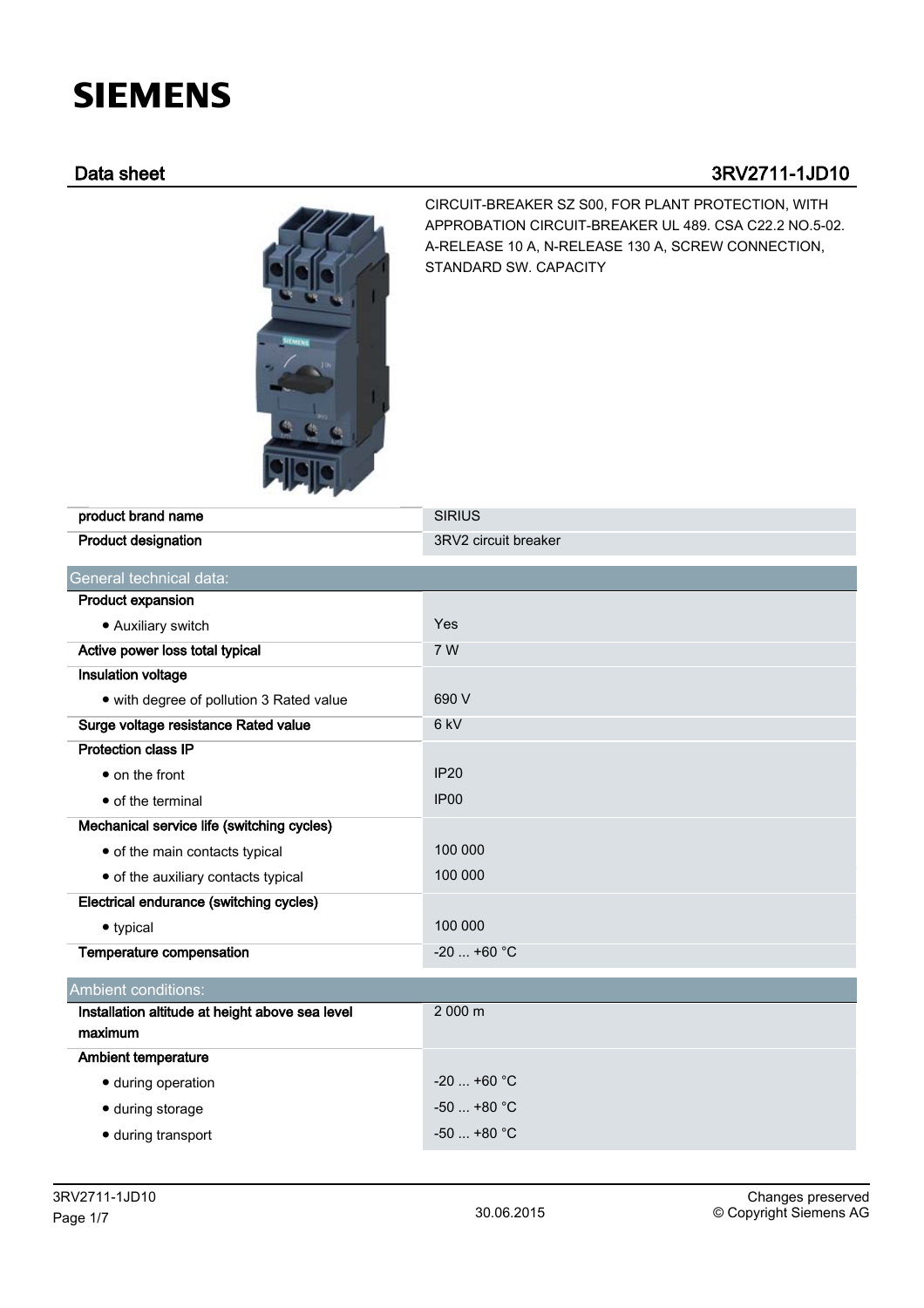## **SIEMENS**

## Data sheet 3RV2711-1JD10



CIRCUIT-BREAKER SZ S00, FOR PLANT PROTECTION, WITH APPROBATION CIRCUIT-BREAKER UL 489. CSA C22.2 NO.5-02. A-RELEASE 10 A, N-RELEASE 130 A, SCREW CONNECTION, STANDARD SW. CAPACITY

| product brand name                              | <b>SIRIUS</b>        |  |  |
|-------------------------------------------------|----------------------|--|--|
| <b>Product designation</b>                      | 3RV2 circuit breaker |  |  |
|                                                 |                      |  |  |
| General technical data:                         |                      |  |  |
| Product expansion                               |                      |  |  |
| • Auxiliary switch                              | Yes                  |  |  |
| Active power loss total typical                 | 7 W                  |  |  |
| Insulation voltage                              |                      |  |  |
| • with degree of pollution 3 Rated value        | 690 V                |  |  |
| Surge voltage resistance Rated value            | 6 kV                 |  |  |
| <b>Protection class IP</b>                      |                      |  |  |
| • on the front                                  | <b>IP20</b>          |  |  |
| • of the terminal                               | IP <sub>00</sub>     |  |  |
| Mechanical service life (switching cycles)      |                      |  |  |
| • of the main contacts typical                  | 100 000              |  |  |
| • of the auxiliary contacts typical             | 100 000              |  |  |
| Electrical endurance (switching cycles)         |                      |  |  |
| • typical                                       | 100 000              |  |  |
| Temperature compensation                        | $-20$ +60 °C         |  |  |
| <b>Ambient conditions:</b>                      |                      |  |  |
| Installation altitude at height above sea level | 2 000 m              |  |  |
| maximum                                         |                      |  |  |
| Ambient temperature                             |                      |  |  |
| · during operation                              | $-20$ +60 °C         |  |  |
| · during storage                                | $-50$ +80 °C         |  |  |
| · during transport                              | $-50$ +80 °C         |  |  |
|                                                 |                      |  |  |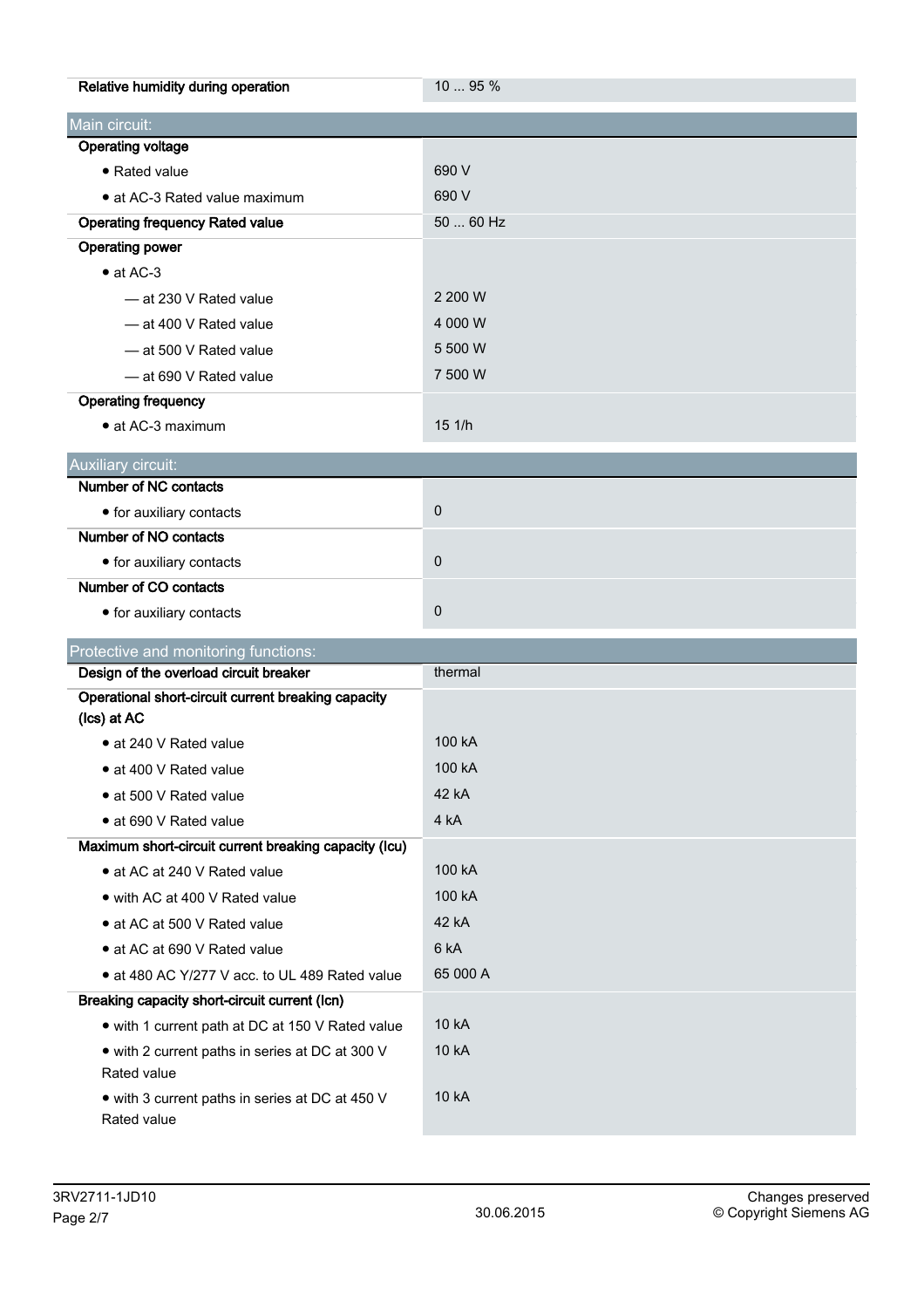| Relative humidity during operation                                 | 10  95 %    |  |
|--------------------------------------------------------------------|-------------|--|
| Main circuit:                                                      |             |  |
| <b>Operating voltage</b>                                           |             |  |
| • Rated value                                                      | 690 V       |  |
| • at AC-3 Rated value maximum                                      | 690 V       |  |
| <b>Operating frequency Rated value</b>                             | 50  60 Hz   |  |
| <b>Operating power</b>                                             |             |  |
| $\bullet$ at AC-3                                                  |             |  |
| $-$ at 230 V Rated value                                           | 2 200 W     |  |
| - at 400 V Rated value                                             | 4 000 W     |  |
| - at 500 V Rated value                                             | 5 500 W     |  |
| - at 690 V Rated value                                             | 7 500 W     |  |
| <b>Operating frequency</b>                                         |             |  |
| • at AC-3 maximum                                                  | 15 1/h      |  |
| Auxiliary circuit:                                                 |             |  |
| Number of NC contacts                                              |             |  |
| • for auxiliary contacts                                           | $\mathbf 0$ |  |
| Number of NO contacts                                              |             |  |
| • for auxiliary contacts                                           | $\mathbf 0$ |  |
| Number of CO contacts                                              |             |  |
| • for auxiliary contacts                                           | $\mathbf 0$ |  |
| Protective and monitoring functions:                               |             |  |
| Design of the overload circuit breaker                             | thermal     |  |
| Operational short-circuit current breaking capacity<br>(Ics) at AC |             |  |
| • at 240 V Rated value                                             | 100 kA      |  |
| $\bullet$ at 400 V Rated value                                     | 100 kA      |  |
| • at 500 V Rated value                                             | 42 kA       |  |
| • at 690 V Rated value                                             | 4 kA        |  |
| Maximum short-circuit current breaking capacity (Icu)              |             |  |
| • at AC at 240 V Rated value                                       | 100 kA      |  |
| • with AC at 400 V Rated value                                     | 100 kA      |  |
| • at AC at 500 V Rated value                                       | 42 kA       |  |
| • at AC at 690 V Rated value                                       | 6 kA        |  |
| • at 480 AC Y/277 V acc. to UL 489 Rated value                     | 65 000 A    |  |
| Breaking capacity short-circuit current (Icn)                      |             |  |
| • with 1 current path at DC at 150 V Rated value                   | 10 kA       |  |
| • with 2 current paths in series at DC at 300 V<br>Rated value     | 10 kA       |  |
| • with 3 current paths in series at DC at 450 V<br>Rated value     | 10 kA       |  |
|                                                                    |             |  |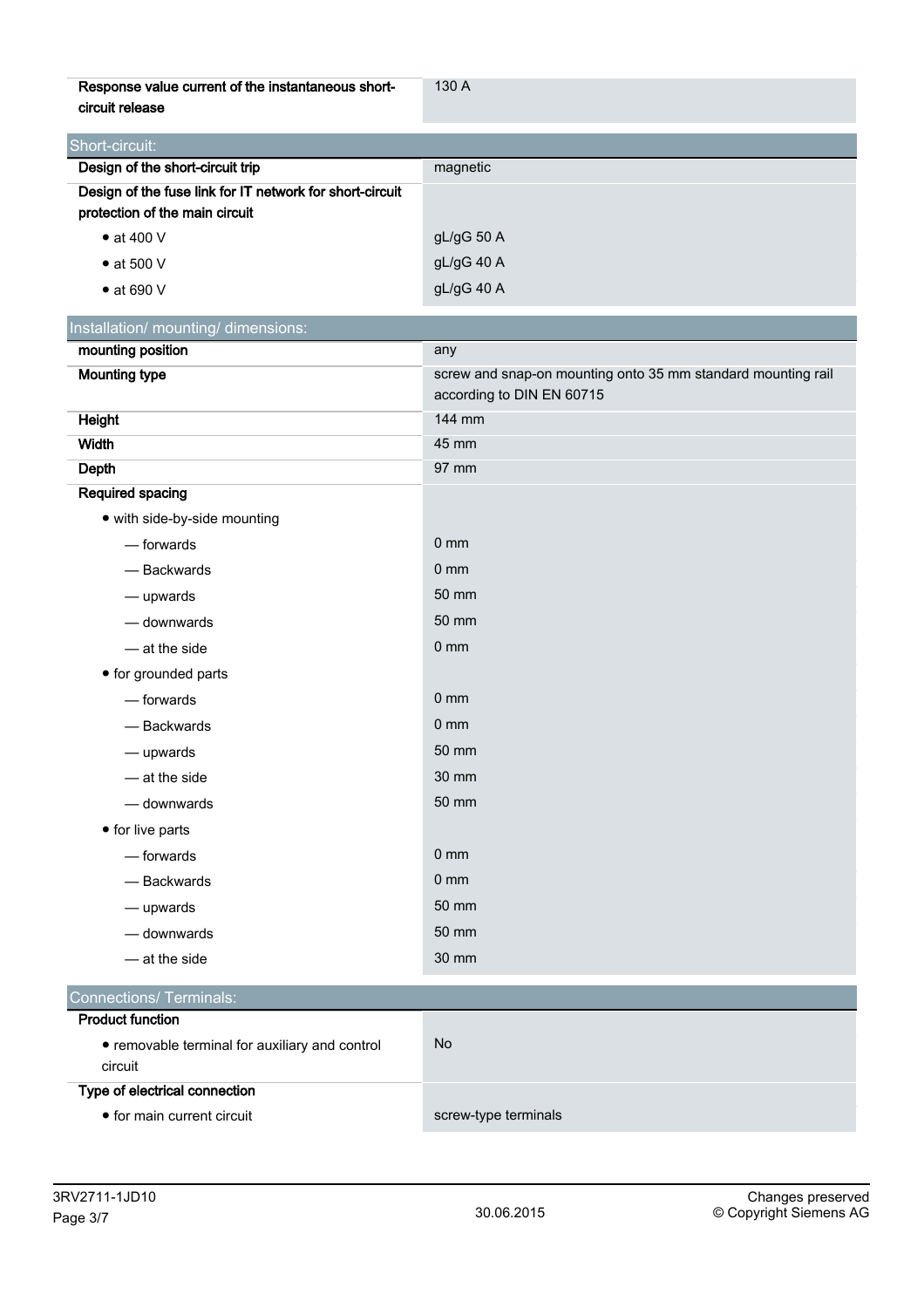Response value current of the instantaneous shortcircuit release

Width 45 mm

130 A

| Short-circuit:                                                                             |                                                                                           |
|--------------------------------------------------------------------------------------------|-------------------------------------------------------------------------------------------|
| Design of the short-circuit trip                                                           | magnetic                                                                                  |
| Design of the fuse link for IT network for short-circuit<br>protection of the main circuit |                                                                                           |
| $\bullet$ at 400 V                                                                         | gL/gG 50 A                                                                                |
| $\bullet$ at 500 V                                                                         | $gL/gG$ 40 A                                                                              |
| $\bullet$ at 690 V                                                                         | $gL/gG$ 40 A                                                                              |
| Installation/ mounting/ dimensions:                                                        |                                                                                           |
| mounting position                                                                          | any                                                                                       |
| <b>Mounting type</b>                                                                       | screw and snap-on mounting onto 35 mm standard mounting rail<br>according to DIN EN 60715 |
| Height                                                                                     | 144 mm                                                                                    |

| Depth            | 97 mm |
|------------------|-------|
| Required spacing |       |

| cyun cu əpavnıy              |                 |
|------------------------------|-----------------|
| • with side-by-side mounting |                 |
| — forwards                   | 0 <sub>mm</sub> |
| - Backwards                  | 0 <sub>mm</sub> |
| — upwards                    | 50 mm           |
| - downwards                  | 50 mm           |
| - at the side                | 0 <sub>mm</sub> |
| • for grounded parts         |                 |
| — forwards                   | 0 <sub>mm</sub> |
| - Backwards                  | 0 <sub>mm</sub> |
| — upwards                    | 50 mm           |
| - at the side                | 30 mm           |
| - downwards                  | 50 mm           |
| • for live parts             |                 |
| - forwards                   | 0 <sub>mm</sub> |
| - Backwards                  | 0 <sub>mm</sub> |
| - upwards                    | 50 mm           |
| - downwards                  | 50 mm           |
| - at the side                | 30 mm           |

| <b>Connections/Terminals:</b>                             |                      |
|-----------------------------------------------------------|----------------------|
| <b>Product function</b>                                   |                      |
| • removable terminal for auxiliary and control<br>circuit | N <sub>o</sub>       |
| Type of electrical connection                             |                      |
| • for main current circuit                                | screw-type terminals |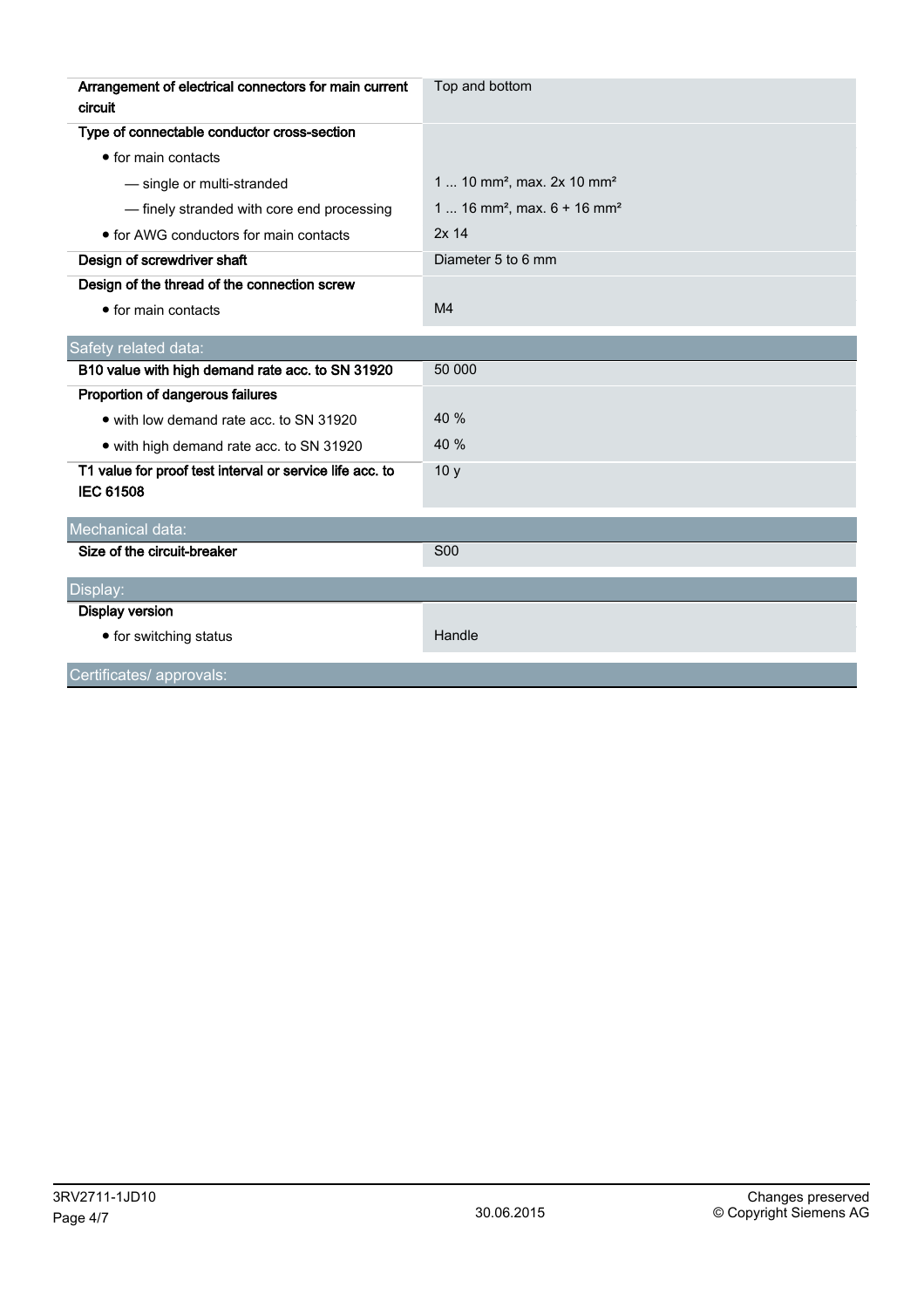| Arrangement of electrical connectors for main current<br>circuit | Top and bottom                                        |
|------------------------------------------------------------------|-------------------------------------------------------|
| Type of connectable conductor cross-section                      |                                                       |
| $\bullet$ for main contacts                                      |                                                       |
| - single or multi-stranded                                       | 1  10 mm <sup>2</sup> , max. 2x 10 mm <sup>2</sup>    |
| - finely stranded with core end processing                       | 1  16 mm <sup>2</sup> , max. $6 + 16$ mm <sup>2</sup> |
| • for AWG conductors for main contacts                           | $2x$ 14                                               |
| Design of screwdriver shaft                                      | Diameter 5 to 6 mm                                    |
| Design of the thread of the connection screw                     |                                                       |
| $\bullet$ for main contacts                                      | M <sub>4</sub>                                        |
| Safety related data:                                             |                                                       |
| B10 value with high demand rate acc. to SN 31920                 | 50 000                                                |
| Proportion of dangerous failures                                 |                                                       |
| • with low demand rate acc. to SN 31920                          | 40 %                                                  |
| • with high demand rate acc. to SN 31920                         | 40 %                                                  |
| T1 value for proof test interval or service life acc. to         | 10 <sub>y</sub>                                       |
| <b>IEC 61508</b>                                                 |                                                       |
| Mechanical data:                                                 |                                                       |
| Size of the circuit-breaker                                      | <b>S00</b>                                            |
| Display:                                                         |                                                       |
| <b>Display version</b>                                           |                                                       |
| • for switching status                                           | Handle                                                |
| Certificates/ approvals:                                         |                                                       |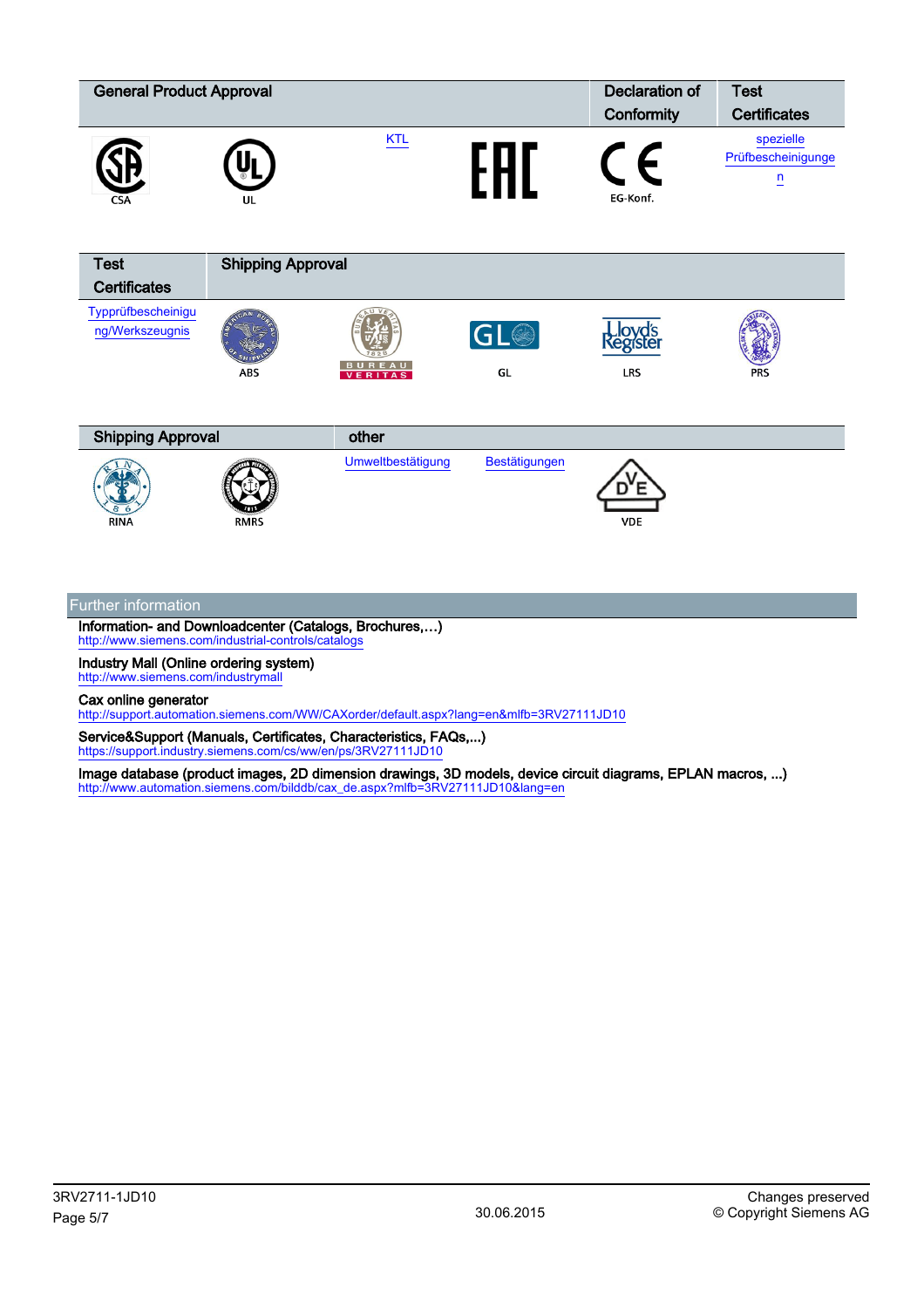| <b>General Product Approval</b>       |                          |                   |                  | <b>Declaration of</b><br>Conformity | <b>Test</b><br><b>Certificates</b>                         |
|---------------------------------------|--------------------------|-------------------|------------------|-------------------------------------|------------------------------------------------------------|
|                                       | UL                       | KTL               |                  | ┡<br>EG-Konf.                       | spezielle<br>Prüfbescheinigunge<br>$\overline{\mathbf{n}}$ |
| <b>Test</b><br><b>Certificates</b>    | <b>Shipping Approval</b> |                   |                  |                                     |                                                            |
| Typprüfbescheinigu<br>ng/Werkszeugnis | <b>ABS</b>               | BUREAU<br>VERITAS | <b>GL®</b><br>GL | <b>Kegister</b><br><b>LRS</b>       | <b>PRS</b>                                                 |
| <b>Shipping Approval</b>              |                          | other             |                  |                                     |                                                            |
| <b>RINA</b>                           | <b>RMRS</b>              | Umweltbestätigung | Bestätigungen    | <b>VDE</b>                          |                                                            |

## Further information

Information- and Downloadcenter (Catalogs, Brochures,…) <http://www.siemens.com/industrial-controls/catalogs>

Industry Mall (Online ordering system) <http://www.siemens.com/industrymall>

Cax online generator

<http://support.automation.siemens.com/WW/CAXorder/default.aspx?lang=en&mlfb=3RV27111JD10>

Service&Support (Manuals, Certificates, Characteristics, FAQs,...) <https://support.industry.siemens.com/cs/ww/en/ps/3RV27111JD10>

Image database (product images, 2D dimension drawings, 3D models, device circuit diagrams, EPLAN macros, ...) [http://www.automation.siemens.com/bilddb/cax\\_de.aspx?mlfb=3RV27111JD10&lang=en](http://www.automation.siemens.com/bilddb/cax_de.aspx?mlfb=3RV27111JD10&lang=en)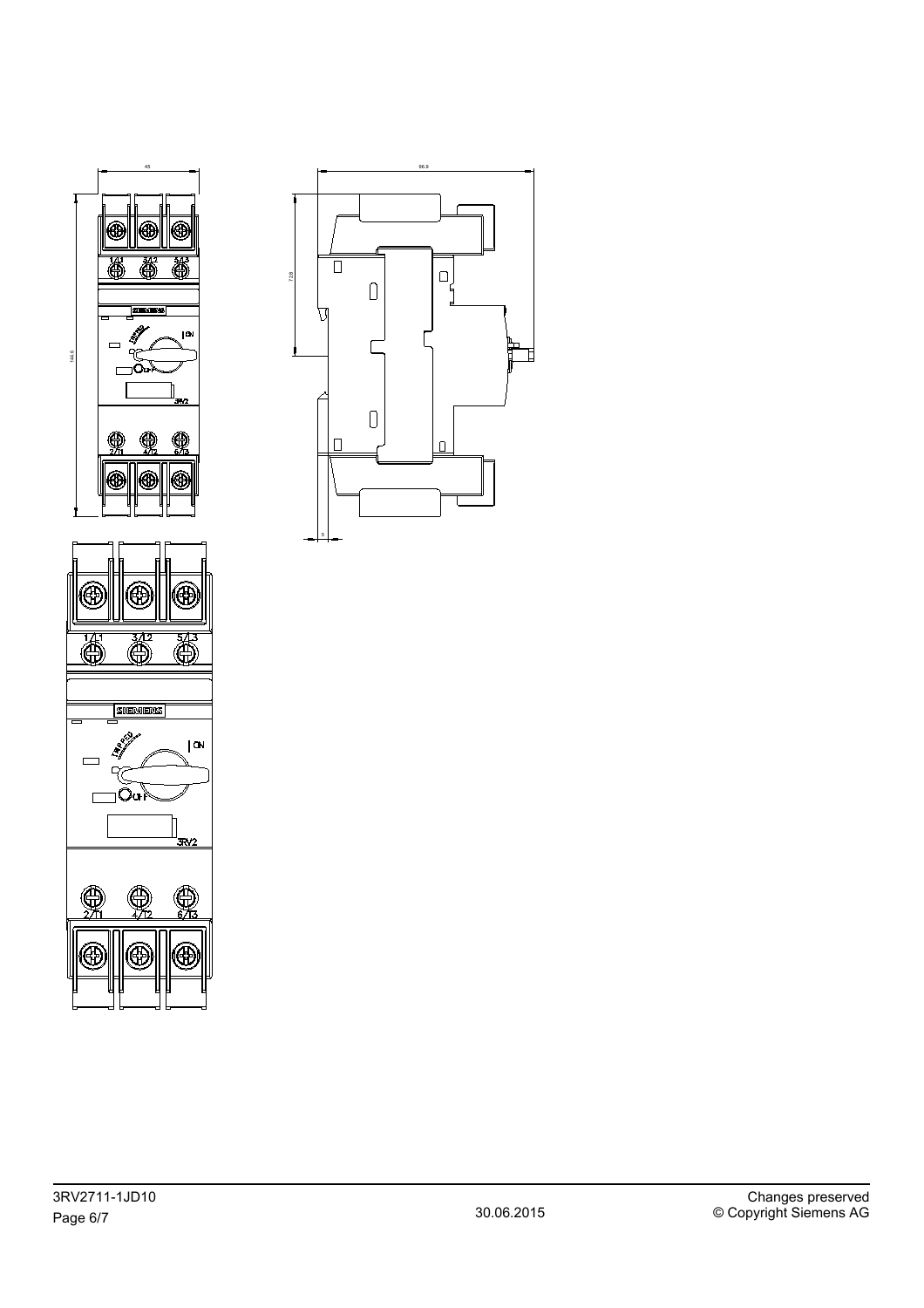